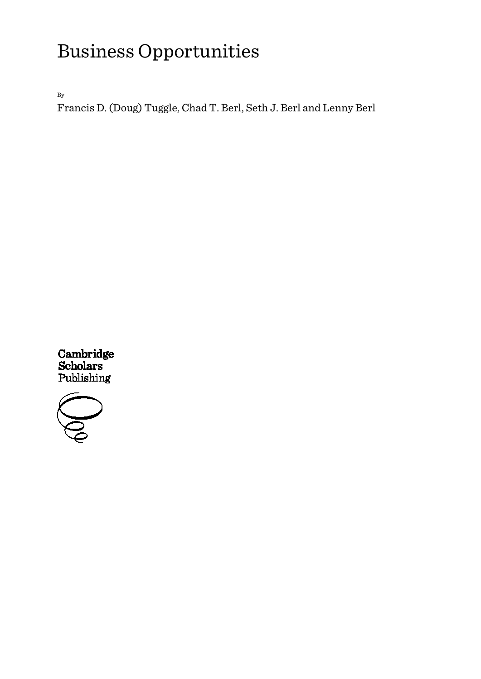By

Francis D. (Doug) Tuggle, Chad T. Berl, Seth J. Berl and Lenny Berl



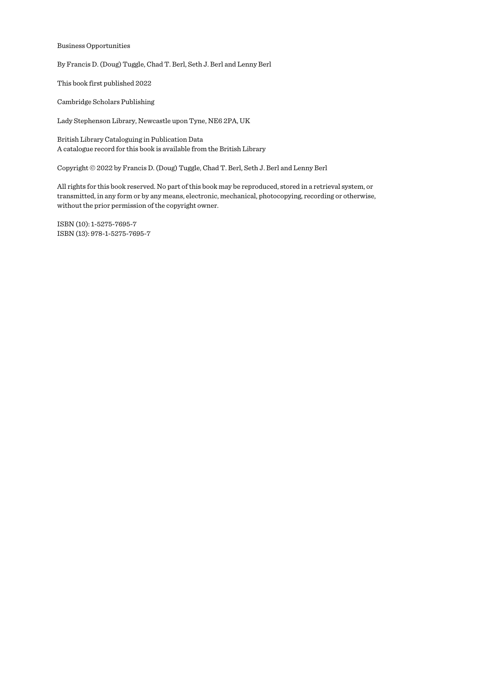By Francis D. (Doug) Tuggle, Chad T. Berl, Seth J. Berl and Lenny Berl

This book first published 2022

Cambridge Scholars Publishing

Lady Stephenson Library, Newcastle upon Tyne, NE6 2PA, UK

British Library Cataloguing in Publication Data A catalogue record for this book is available from the British Library

Copyright © 2022 by Francis D. (Doug) Tuggle, Chad T. Berl, Seth J. Berl and Lenny Berl

All rights for this book reserved. No part of this book may be reproduced, stored in a retrieval system, or transmitted, in any form or by any means, electronic, mechanical, photocopying, recording or otherwise, without the prior permission of the copyright owner.

ISBN (10): 1-5275-7695-7 ISBN (13): 978-1-5275-7695-7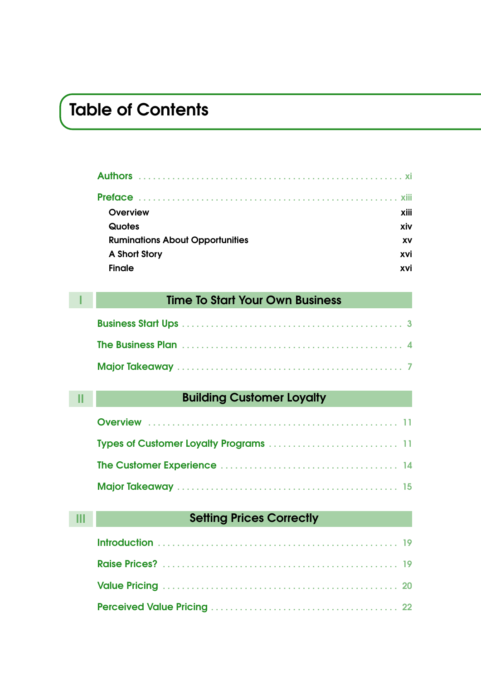### Table of Contents

| <b>Overview</b>                        | xiii |
|----------------------------------------|------|
| Quotes                                 | xiv  |
| <b>Ruminations About Opportunities</b> | XV   |
| A Short Story                          | xvi  |
| <b>Finale</b>                          | xvi  |

### **I I Time To Start Your Own Business**

|  | <b>Building Customer Loyalty</b> |  |
|--|----------------------------------|--|
|--|----------------------------------|--|

### **Setting Prices Correctly**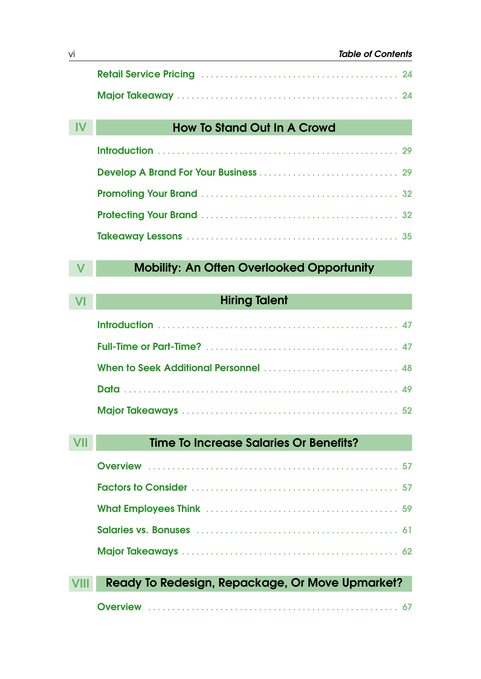| <b>How To Stand Out In A Crowd</b> |    |
|------------------------------------|----|
|                                    | 29 |
|                                    |    |
|                                    |    |
|                                    |    |
|                                    | 35 |

### **Mobility: An Often Overlooked Opportunity**

| <b>Hiring Talent</b>              |  |
|-----------------------------------|--|
|                                   |  |
|                                   |  |
| When to Seek Additional Personnel |  |
|                                   |  |
|                                   |  |

| Time To Increase Salaries Or Benefits?          |
|-------------------------------------------------|
|                                                 |
|                                                 |
|                                                 |
|                                                 |
|                                                 |
|                                                 |
| Ready To Redesign, Repackage, Or Move Upmarket? |
|                                                 |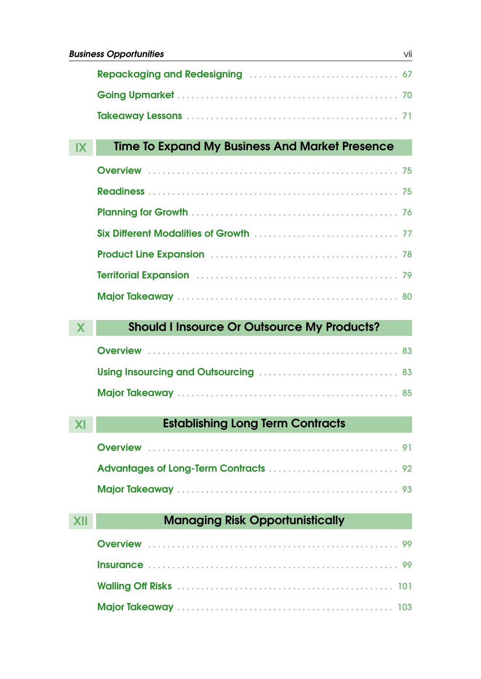### IX Time To Expand My Business And Market Presence

| Territorial Expansion (1997) 79 |  |
|---------------------------------|--|
|                                 |  |

### X Should I Insource Or Outsource My Products?

### XI **Establishing Long Term Contracts**

### **XII Managing Risk Opportunistically**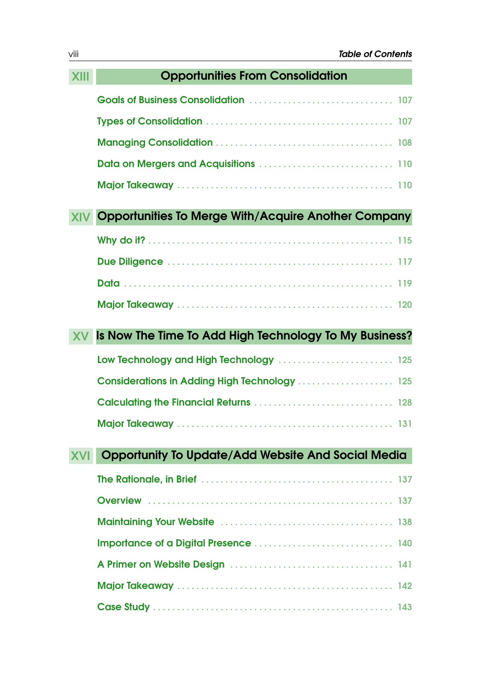### XIII Opportunities From Consolidation Goals of Business Consolidation . . . . . . . . . . . . . . . . . . . . . . . . . . . . . . 107 Types of Consolidation . . . . . . . . . . . . . . . . . . . . . . . . . . . . . . . . . . . . . . . 107 Managing Consolidation . . . . . . . . . . . . . . . . . . . . . . . . . . . . . . . . . . . . . 108 Data on Mergers and Acquisitions . . . . . . . . . . . . . . . . . . . . . . . . . . . . 110 Major Takeaway . . . . . . . . . . . . . . . . . . . . . . . . . . . . . . . . . . . . . . . . . . . . . 110 XIV Opportunities To Merge With/Acquire Another Company Why do it? . . . . . . . . . . . . . . . . . . . . . . . . . . . . . . . . . . . . . . . . . . . . . . . . . . . 115 Due Diligence . . . . . . . . . . . . . . . . . . . . . . . . . . . . . . . . . . . . . . . . . . . . . . . 117 Data . . . . . . . . . . . . . . . . . . . . . . . . . . . . . . . . . . . . . . . . . . . . . . . . . . . . . . . . 119 Major Takeaway . . . . . . . . . . . . . . . . . . . . . . . . . . . . . . . . . . . . . . . . . . . . . 120 XV Is Now The Time To Add High Technology To My Business? Low Technology and High Technology . . . . . . . . . . . . . . . . . . . . . . . . 125 Considerations in Adding High Technology . . . . . . . . . . . . . . . . . 125 Calculating the Financial Returns . . . . . . . . . . . . . . . . . . . . . . . . . . . . . 128 Major Takeaway . . . . . . . . . . . . . . . . . . . . . . . . . . . . . . . . . . . . . . . . . . . . . 131 XVI Opportunity To Update/Add Website And Social Media The Rationale, in Brief . . . . . . . . . . . . . . . . . . . . . . . . . . . . . . . . . . . . . . . . 137 Overview . . . . . . . . . . . . . . . . . . . . . . . . . . . . . . . . . . . . . . . . . . . . . . . . . . . 137 Maintaining Your Website . . . . . . . . . . . . . . . . . . . . . . . . . . . . . . . . . . . . 138 Importance of a Digital Presence . . . . . . . . . . . . . . . . . . . . . . . . . . . . . 140 A Primer on Website Design . . . . . . . . . . . . . . . . . . . . . . . . . . . . . . . . . . 141 Major Takeaway . . . . . . . . . . . . . . . . . . . . . . . . . . . . . . . . . . . . . . . . . . . . . 142 Case Study . . . . . . . . . . . . . . . . . . . . . . . . . . . . . . . . . . . . . . . . . . . . . . . . . . 143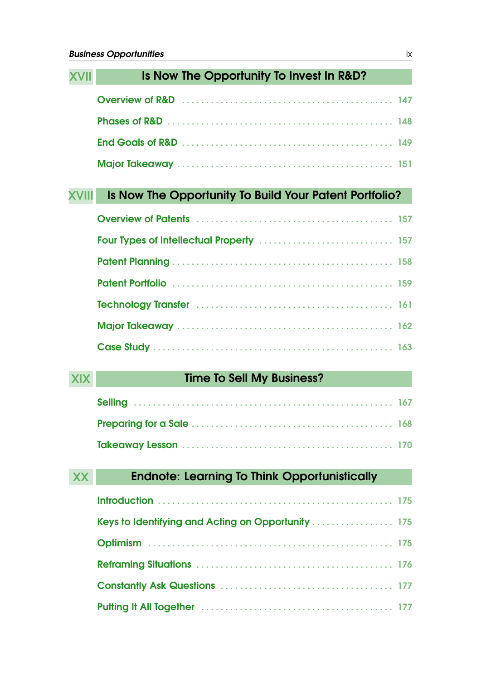|            | Is Now The Opportunity To Invest In R&D?               |  |
|------------|--------------------------------------------------------|--|
|            |                                                        |  |
|            |                                                        |  |
|            |                                                        |  |
|            |                                                        |  |
|            | Is Now The Opportunity To Build Your Patent Portfolio? |  |
|            |                                                        |  |
|            |                                                        |  |
|            |                                                        |  |
|            |                                                        |  |
|            |                                                        |  |
|            |                                                        |  |
|            |                                                        |  |
| <b>XIX</b> | <b>Time To Sell My Business?</b>                       |  |
|            |                                                        |  |
|            |                                                        |  |
|            |                                                        |  |
| XX         | <b>Endnote: Learning To Think Opportunistically</b>    |  |
|            |                                                        |  |
|            | Keys to Identifying and Acting on Opportunity  175     |  |
|            |                                                        |  |
|            |                                                        |  |
|            |                                                        |  |
|            |                                                        |  |
|            |                                                        |  |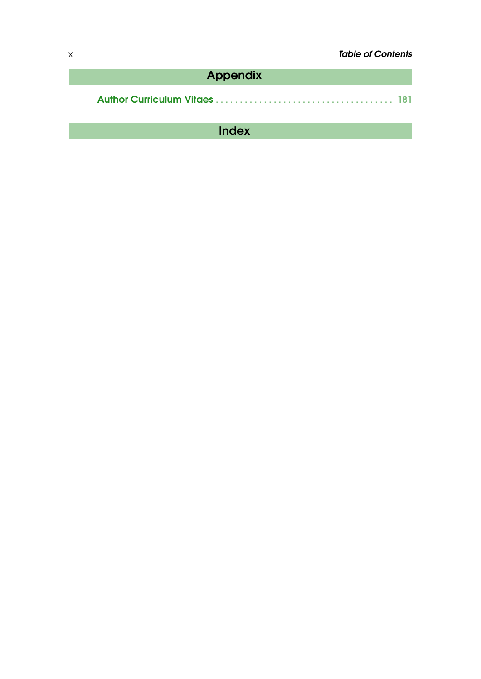| Appendix |  |
|----------|--|
|          |  |

Author Curriculum Vitaes . . . . . . . . . . . . . . . . . . . . . . . . . . . . . . . . . . . . . 181

Index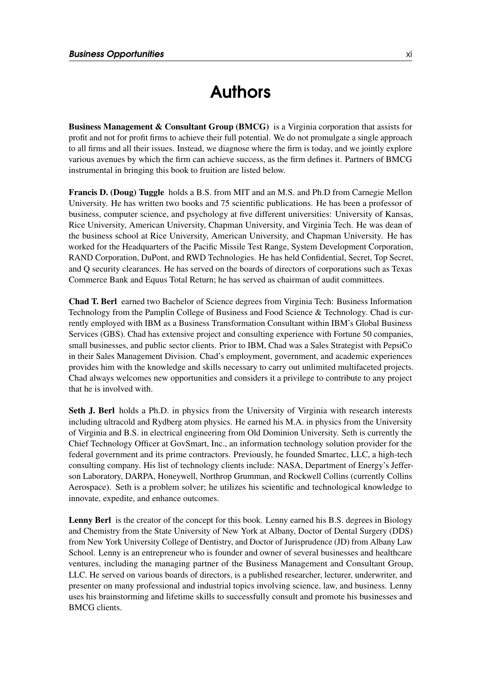### Authors

Business Management & Consultant Group (BMCG) is a Virginia corporation that assists for profit and not for profit firms to achieve their full potential. We do not promulgate a single approach to all firms and all their issues. Instead, we diagnose where the firm is today, and we jointly explore various avenues by which the firm can achieve success, as the firm defines it. Partners of BMCG instrumental in bringing this book to fruition are listed below.

Francis D. (Doug) Tuggle holds a B.S. from MIT and an M.S. and Ph.D from Carnegie Mellon University. He has written two books and 75 scientific publications. He has been a professor of business, computer science, and psychology at five different universities: University of Kansas, Rice University, American University, Chapman University, and Virginia Tech. He was dean of the business school at Rice University, American University, and Chapman University. He has worked for the Headquarters of the Pacific Missile Test Range, System Development Corporation, RAND Corporation, DuPont, and RWD Technologies. He has held Confidential, Secret, Top Secret, and Q security clearances. He has served on the boards of directors of corporations such as Texas Commerce Bank and Equus Total Return; he has served as chairman of audit committees.

Chad T. Berl earned two Bachelor of Science degrees from Virginia Tech: Business Information Technology from the Pamplin College of Business and Food Science & Technology. Chad is currently employed with IBM as a Business Transformation Consultant within IBM's Global Business Services (GBS). Chad has extensive project and consulting experience with Fortune 50 companies, small businesses, and public sector clients. Prior to IBM, Chad was a Sales Strategist with PepsiCo in their Sales Management Division. Chad's employment, government, and academic experiences provides him with the knowledge and skills necessary to carry out unlimited multifaceted projects. Chad always welcomes new opportunities and considers it a privilege to contribute to any project that he is involved with.

Seth J. Berl holds a Ph.D. in physics from the University of Virginia with research interests including ultracold and Rydberg atom physics. He earned his M.A. in physics from the University of Virginia and B.S. in electrical engineering from Old Dominion University. Seth is currently the Chief Technology Officer at GovSmart, Inc., an information technology solution provider for the federal government and its prime contractors. Previously, he founded Smartec, LLC, a high-tech consulting company. His list of technology clients include: NASA, Department of Energy's Jefferson Laboratory, DARPA, Honeywell, Northrop Grumman, and Rockwell Collins (currently Collins Aerospace). Seth is a problem solver; he utilizes his scientific and technological knowledge to innovate, expedite, and enhance outcomes.

Lenny Berl is the creator of the concept for this book. Lenny earned his B.S. degrees in Biology and Chemistry from the State University of New York at Albany, Doctor of Dental Surgery (DDS) from New York University College of Dentistry, and Doctor of Jurisprudence (JD) from Albany Law School. Lenny is an entrepreneur who is founder and owner of several businesses and healthcare ventures, including the managing partner of the Business Management and Consultant Group, LLC. He served on various boards of directors, is a published researcher, lecturer, underwriter, and presenter on many professional and industrial topics involving science, law, and business. Lenny uses his brainstorming and lifetime skills to successfully consult and promote his businesses and BMCG clients.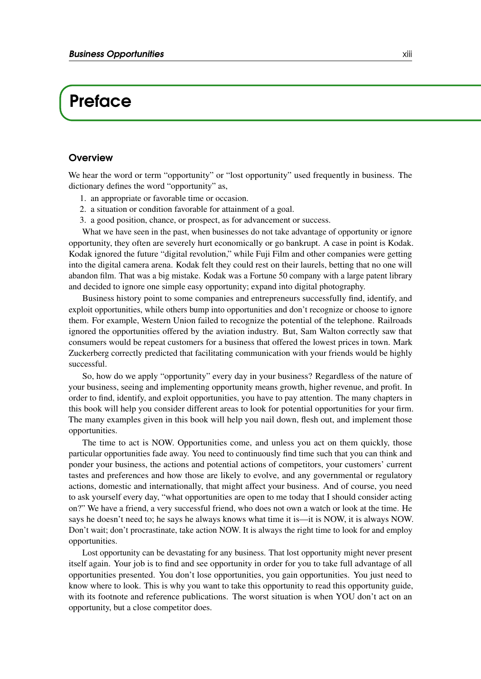### **Preface**

#### **Overview**

We hear the word or term "opportunity" or "lost opportunity" used frequently in business. The dictionary defines the word "opportunity" as,

- 1. an appropriate or favorable time or occasion.
- 2. a situation or condition favorable for attainment of a goal.
- 3. a good position, chance, or prospect, as for advancement or success.

What we have seen in the past, when businesses do not take advantage of opportunity or ignore opportunity, they often are severely hurt economically or go bankrupt. A case in point is Kodak. Kodak ignored the future "digital revolution," while Fuji Film and other companies were getting into the digital camera arena. Kodak felt they could rest on their laurels, betting that no one will abandon film. That was a big mistake. Kodak was a Fortune 50 company with a large patent library and decided to ignore one simple easy opportunity; expand into digital photography.

Business history point to some companies and entrepreneurs successfully find, identify, and exploit opportunities, while others bump into opportunities and don't recognize or choose to ignore them. For example, Western Union failed to recognize the potential of the telephone. Railroads ignored the opportunities offered by the aviation industry. But, Sam Walton correctly saw that consumers would be repeat customers for a business that offered the lowest prices in town. Mark Zuckerberg correctly predicted that facilitating communication with your friends would be highly successful.

So, how do we apply "opportunity" every day in your business? Regardless of the nature of your business, seeing and implementing opportunity means growth, higher revenue, and profit. In order to find, identify, and exploit opportunities, you have to pay attention. The many chapters in this book will help you consider different areas to look for potential opportunities for your firm. The many examples given in this book will help you nail down, flesh out, and implement those opportunities.

The time to act is NOW. Opportunities come, and unless you act on them quickly, those particular opportunities fade away. You need to continuously find time such that you can think and ponder your business, the actions and potential actions of competitors, your customers' current tastes and preferences and how those are likely to evolve, and any governmental or regulatory actions, domestic and internationally, that might affect your business. And of course, you need to ask yourself every day, "what opportunities are open to me today that I should consider acting on?" We have a friend, a very successful friend, who does not own a watch or look at the time. He says he doesn't need to; he says he always knows what time it is—it is NOW, it is always NOW. Don't wait; don't procrastinate, take action NOW. It is always the right time to look for and employ opportunities.

Lost opportunity can be devastating for any business. That lost opportunity might never present itself again. Your job is to find and see opportunity in order for you to take full advantage of all opportunities presented. You don't lose opportunities, you gain opportunities. You just need to know where to look. This is why you want to take this opportunity to read this opportunity guide, with its footnote and reference publications. The worst situation is when YOU don't act on an opportunity, but a close competitor does.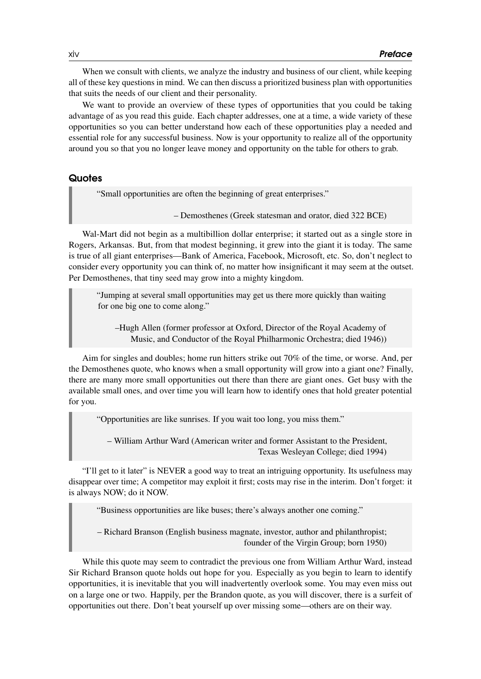When we consult with clients, we analyze the industry and business of our client, while keeping all of these key questions in mind. We can then discuss a prioritized business plan with opportunities that suits the needs of our client and their personality.

We want to provide an overview of these types of opportunities that you could be taking advantage of as you read this guide. Each chapter addresses, one at a time, a wide variety of these opportunities so you can better understand how each of these opportunities play a needed and essential role for any successful business. Now is your opportunity to realize all of the opportunity around you so that you no longer leave money and opportunity on the table for others to grab.

#### **Quotes**

"Small opportunities are often the beginning of great enterprises."

– Demosthenes (Greek statesman and orator, died 322 BCE)

Wal-Mart did not begin as a multibillion dollar enterprise; it started out as a single store in Rogers, Arkansas. But, from that modest beginning, it grew into the giant it is today. The same is true of all giant enterprises—Bank of America, Facebook, Microsoft, etc. So, don't neglect to consider every opportunity you can think of, no matter how insignificant it may seem at the outset. Per Demosthenes, that tiny seed may grow into a mighty kingdom.

"Jumping at several small opportunities may get us there more quickly than waiting for one big one to come along."

–Hugh Allen (former professor at Oxford, Director of the Royal Academy of Music, and Conductor of the Royal Philharmonic Orchestra; died 1946))

Aim for singles and doubles; home run hitters strike out 70% of the time, or worse. And, per the Demosthenes quote, who knows when a small opportunity will grow into a giant one? Finally, there are many more small opportunities out there than there are giant ones. Get busy with the available small ones, and over time you will learn how to identify ones that hold greater potential for you.

"Opportunities are like sunrises. If you wait too long, you miss them."

– William Arthur Ward (American writer and former Assistant to the President, Texas Wesleyan College; died 1994)

"I'll get to it later" is NEVER a good way to treat an intriguing opportunity. Its usefulness may disappear over time; A competitor may exploit it first; costs may rise in the interim. Don't forget: it is always NOW; do it NOW.

"Business opportunities are like buses; there's always another one coming."

– Richard Branson (English business magnate, investor, author and philanthropist; founder of the Virgin Group; born 1950)

While this quote may seem to contradict the previous one from William Arthur Ward, instead Sir Richard Branson quote holds out hope for you. Especially as you begin to learn to identify opportunities, it is inevitable that you will inadvertently overlook some. You may even miss out on a large one or two. Happily, per the Brandon quote, as you will discover, there is a surfeit of opportunities out there. Don't beat yourself up over missing some—others are on their way.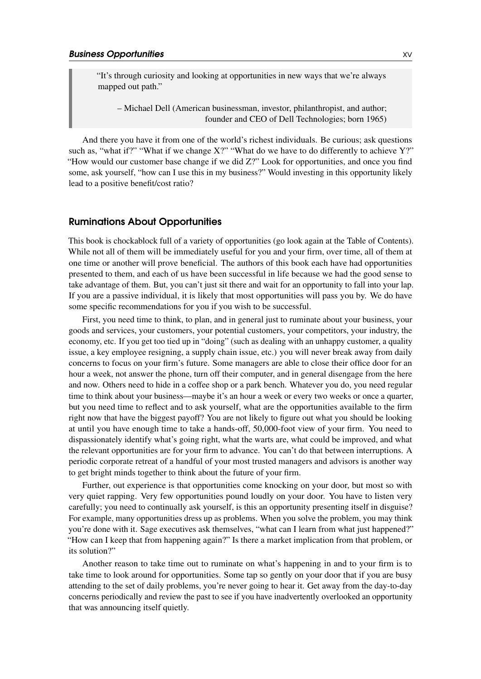"It's through curiosity and looking at opportunities in new ways that we're always mapped out path."

– Michael Dell (American businessman, investor, philanthropist, and author; founder and CEO of Dell Technologies; born 1965)

And there you have it from one of the world's richest individuals. Be curious; ask questions such as, "what if?" "What if we change X?" "What do we have to do differently to achieve Y?" "How would our customer base change if we did Z?" Look for opportunities, and once you find some, ask yourself, "how can I use this in my business?" Would investing in this opportunity likely lead to a positive benefit/cost ratio?

#### Ruminations About Opportunities

This book is chockablock full of a variety of opportunities (go look again at the Table of Contents). While not all of them will be immediately useful for you and your firm, over time, all of them at one time or another will prove beneficial. The authors of this book each have had opportunities presented to them, and each of us have been successful in life because we had the good sense to take advantage of them. But, you can't just sit there and wait for an opportunity to fall into your lap. If you are a passive individual, it is likely that most opportunities will pass you by. We do have some specific recommendations for you if you wish to be successful.

First, you need time to think, to plan, and in general just to ruminate about your business, your goods and services, your customers, your potential customers, your competitors, your industry, the economy, etc. If you get too tied up in "doing" (such as dealing with an unhappy customer, a quality issue, a key employee resigning, a supply chain issue, etc.) you will never break away from daily concerns to focus on your firm's future. Some managers are able to close their office door for an hour a week, not answer the phone, turn off their computer, and in general disengage from the here and now. Others need to hide in a coffee shop or a park bench. Whatever you do, you need regular time to think about your business—maybe it's an hour a week or every two weeks or once a quarter, but you need time to reflect and to ask yourself, what are the opportunities available to the firm right now that have the biggest payoff? You are not likely to figure out what you should be looking at until you have enough time to take a hands-off, 50,000-foot view of your firm. You need to dispassionately identify what's going right, what the warts are, what could be improved, and what the relevant opportunities are for your firm to advance. You can't do that between interruptions. A periodic corporate retreat of a handful of your most trusted managers and advisors is another way to get bright minds together to think about the future of your firm.

Further, out experience is that opportunities come knocking on your door, but most so with very quiet rapping. Very few opportunities pound loudly on your door. You have to listen very carefully; you need to continually ask yourself, is this an opportunity presenting itself in disguise? For example, many opportunities dress up as problems. When you solve the problem, you may think you're done with it. Sage executives ask themselves, "what can I learn from what just happened?" "How can I keep that from happening again?" Is there a market implication from that problem, or its solution?"

Another reason to take time out to ruminate on what's happening in and to your firm is to take time to look around for opportunities. Some tap so gently on your door that if you are busy attending to the set of daily problems, you're never going to hear it. Get away from the day-to-day concerns periodically and review the past to see if you have inadvertently overlooked an opportunity that was announcing itself quietly.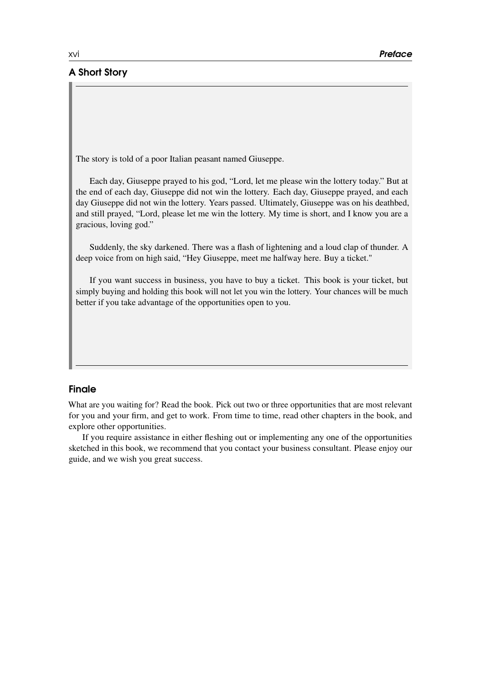#### A Short Story

The story is told of a poor Italian peasant named Giuseppe.

Each day, Giuseppe prayed to his god, "Lord, let me please win the lottery today." But at the end of each day, Giuseppe did not win the lottery. Each day, Giuseppe prayed, and each day Giuseppe did not win the lottery. Years passed. Ultimately, Giuseppe was on his deathbed, and still prayed, "Lord, please let me win the lottery. My time is short, and I know you are a gracious, loving god."

Suddenly, the sky darkened. There was a flash of lightening and a loud clap of thunder. A deep voice from on high said, "Hey Giuseppe, meet me halfway here. Buy a ticket."

If you want success in business, you have to buy a ticket. This book is your ticket, but simply buying and holding this book will not let you win the lottery. Your chances will be much better if you take advantage of the opportunities open to you.

#### Finale

What are you waiting for? Read the book. Pick out two or three opportunities that are most relevant for you and your firm, and get to work. From time to time, read other chapters in the book, and explore other opportunities.

If you require assistance in either fleshing out or implementing any one of the opportunities sketched in this book, we recommend that you contact your business consultant. Please enjoy our guide, and we wish you great success.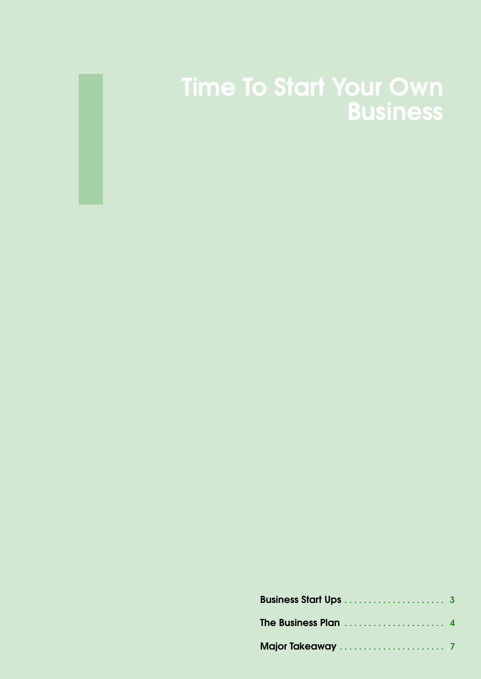

## Time To Start Your Own Business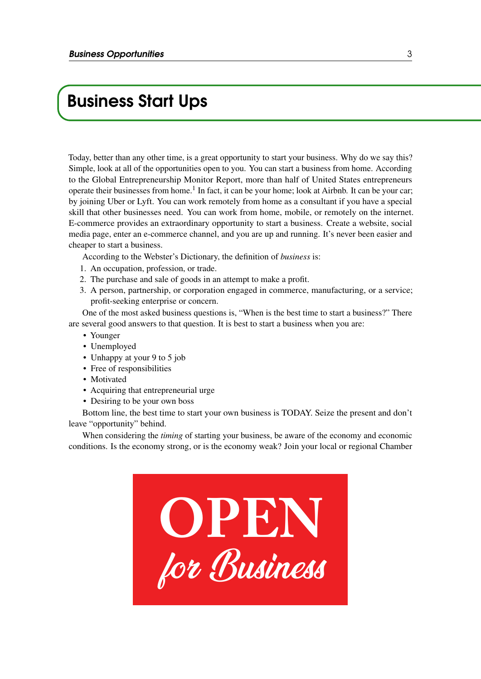### Business Start Ups

Today, better than any other time, is a great opportunity to start your business. Why do we say this? Simple, look at all of the opportunities open to you. You can start a business from home. According to the Global Entrepreneurship Monitor Report, more than half of United States entrepreneurs operate their businesses from home.<sup>1</sup> In fact, it can be your home; look at Airbnb. It can be your car; by joining Uber or Lyft. You can work remotely from home as a consultant if you have a special skill that other businesses need. You can work from home, mobile, or remotely on the internet. E-commerce provides an extraordinary opportunity to start a business. Create a website, social media page, enter an e-commerce channel, and you are up and running. It's never been easier and cheaper to start a business.

According to the Webster's Dictionary, the definition of *business* is:

- 1. An occupation, profession, or trade.
- 2. The purchase and sale of goods in an attempt to make a profit.
- 3. A person, partnership, or corporation engaged in commerce, manufacturing, or a service; profit-seeking enterprise or concern.

One of the most asked business questions is, "When is the best time to start a business?" There are several good answers to that question. It is best to start a business when you are:

- Younger
- Unemployed
- Unhappy at your 9 to 5 job
- Free of responsibilities
- Motivated
- Acquiring that entrepreneurial urge
- Desiring to be your own boss

Bottom line, the best time to start your own business is TODAY. Seize the present and don't leave "opportunity" behind.

When considering the *timing* of starting your business, be aware of the economy and economic conditions. Is the economy strong, or is the economy weak? Join your local or regional Chamber

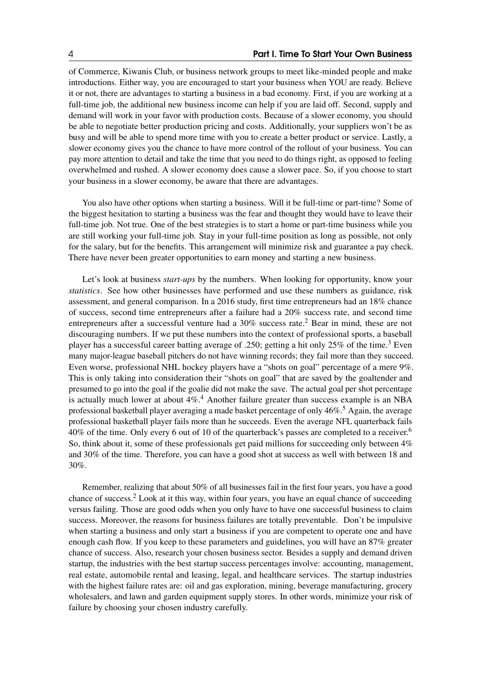of Commerce, Kiwanis Club, or business network groups to meet like-minded people and make introductions. Either way, you are encouraged to start your business when YOU are ready. Believe it or not, there are advantages to starting a business in a bad economy. First, if you are working at a full-time job, the additional new business income can help if you are laid off. Second, supply and demand will work in your favor with production costs. Because of a slower economy, you should be able to negotiate better production pricing and costs. Additionally, your suppliers won't be as busy and will be able to spend more time with you to create a better product or service. Lastly, a slower economy gives you the chance to have more control of the rollout of your business. You can pay more attention to detail and take the time that you need to do things right, as opposed to feeling overwhelmed and rushed. A slower economy does cause a slower pace. So, if you choose to start your business in a slower economy, be aware that there are advantages.

You also have other options when starting a business. Will it be full-time or part-time? Some of the biggest hesitation to starting a business was the fear and thought they would have to leave their full-time job. Not true. One of the best strategies is to start a home or part-time business while you are still working your full-time job. Stay in your full-time position as long as possible, not only for the salary, but for the benefits. This arrangement will minimize risk and guarantee a pay check. There have never been greater opportunities to earn money and starting a new business.

Let's look at business *start-ups* by the numbers. When looking for opportunity, know your *statistics*. See how other businesses have performed and use these numbers as guidance, risk assessment, and general comparison. In a 2016 study, first time entrepreneurs had an 18% chance of success, second time entrepreneurs after a failure had a 20% success rate, and second time entrepreneurs after a successful venture had a  $30\%$  success rate.<sup>2</sup> Bear in mind, these are not discouraging numbers. If we put these numbers into the context of professional sports, a baseball player has a successful career batting average of .250; getting a hit only  $25\%$  of the time.<sup>3</sup> Even many major-league baseball pitchers do not have winning records; they fail more than they succeed. Even worse, professional NHL hockey players have a "shots on goal" percentage of a mere 9%. This is only taking into consideration their "shots on goal" that are saved by the goaltender and presumed to go into the goal if the goalie did not make the save. The actual goal per shot percentage is actually much lower at about  $4\%$ .<sup>4</sup> Another failure greater than success example is an NBA professional basketball player averaging a made basket percentage of only  $46\%$ .<sup>5</sup> Again, the average professional basketball player fails more than he succeeds. Even the average NFL quarterback fails 40% of the time. Only every 6 out of 10 of the quarterback's passes are completed to a receiver.<sup>6</sup> So, think about it, some of these professionals get paid millions for succeeding only between  $4\%$ and 30% of the time. Therefore, you can have a good shot at success as well with between 18 and 30%.

Remember, realizing that about 50% of all businesses fail in the first four years, you have a good chance of success. $2$  Look at it this way, within four years, you have an equal chance of succeeding versus failing. Those are good odds when you only have to have one successful business to claim success. Moreover, the reasons for business failures are totally preventable. Don't be impulsive when starting a business and only start a business if you are competent to operate one and have enough cash flow. If you keep to these parameters and guidelines, you will have an 87% greater chance of success. Also, research your chosen business sector. Besides a supply and demand driven startup, the industries with the best startup success percentages involve: accounting, management, real estate, automobile rental and leasing, legal, and healthcare services. The startup industries with the highest failure rates are: oil and gas exploration, mining, beverage manufacturing, grocery wholesalers, and lawn and garden equipment supply stores. In other words, minimize your risk of failure by choosing your chosen industry carefully.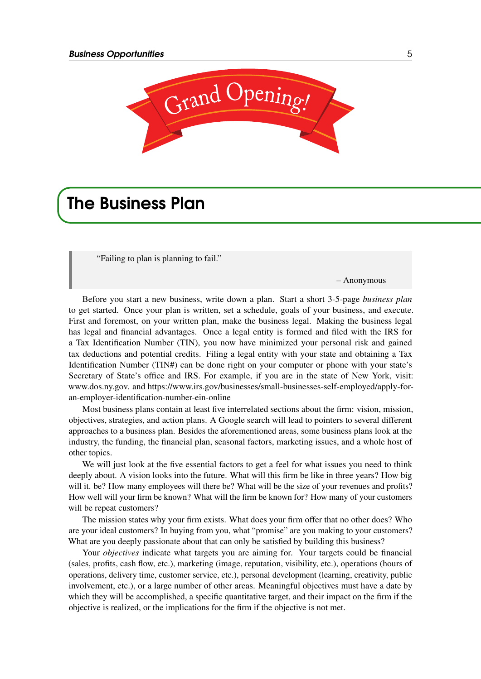

### The Business Plan

"Failing to plan is planning to fail."

– Anonymous

Before you start a new business, write down a plan. Start a short 3-5-page *business plan* to get started. Once your plan is written, set a schedule, goals of your business, and execute. First and foremost, on your written plan, make the business legal. Making the business legal has legal and financial advantages. Once a legal entity is formed and filed with the IRS for a Tax Identification Number (TIN), you now have minimized your personal risk and gained tax deductions and potential credits. Filing a legal entity with your state and obtaining a Tax Identification Number (TIN#) can be done right on your computer or phone with your state's Secretary of State's office and IRS. For example, if you are in the state of New York, visit: www.dos.ny.gov. and https://www.irs.gov/businesses/small-businesses-self-employed/apply-foran-employer-identification-number-ein-online

Most business plans contain at least five interrelated sections about the firm: vision, mission, objectives, strategies, and action plans. A Google search will lead to pointers to several different approaches to a business plan. Besides the aforementioned areas, some business plans look at the industry, the funding, the financial plan, seasonal factors, marketing issues, and a whole host of other topics.

We will just look at the five essential factors to get a feel for what issues you need to think deeply about. A vision looks into the future. What will this firm be like in three years? How big will it. be? How many employees will there be? What will be the size of your revenues and profits? How well will your firm be known? What will the firm be known for? How many of your customers will be repeat customers?

The mission states why your firm exists. What does your firm offer that no other does? Who are your ideal customers? In buying from you, what "promise" are you making to your customers? What are you deeply passionate about that can only be satisfied by building this business?

Your *objectives* indicate what targets you are aiming for. Your targets could be financial (sales, profits, cash flow, etc.), marketing (image, reputation, visibility, etc.), operations (hours of operations, delivery time, customer service, etc.), personal development (learning, creativity, public involvement, etc.), or a large number of other areas. Meaningful objectives must have a date by which they will be accomplished, a specific quantitative target, and their impact on the firm if the objective is realized, or the implications for the firm if the objective is not met.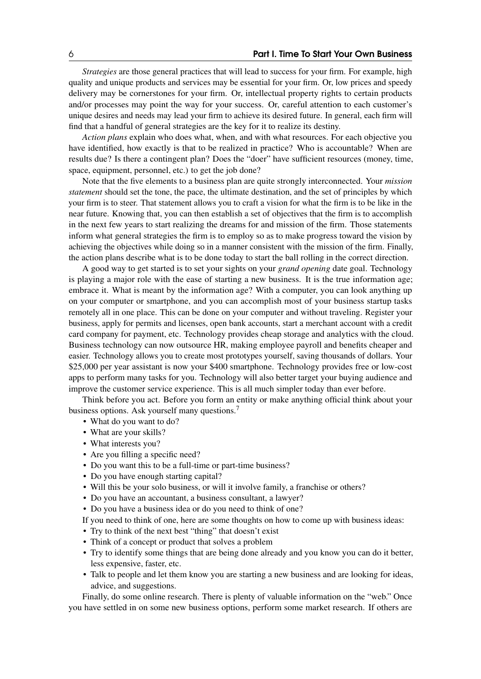*Strategies* are those general practices that will lead to success for your firm. For example, high quality and unique products and services may be essential for your firm. Or, low prices and speedy delivery may be cornerstones for your firm. Or, intellectual property rights to certain products and/or processes may point the way for your success. Or, careful attention to each customer's unique desires and needs may lead your firm to achieve its desired future. In general, each firm will find that a handful of general strategies are the key for it to realize its destiny.

*Action plans* explain who does what, when, and with what resources. For each objective you have identified, how exactly is that to be realized in practice? Who is accountable? When are results due? Is there a contingent plan? Does the "doer" have sufficient resources (money, time, space, equipment, personnel, etc.) to get the job done?

Note that the five elements to a business plan are quite strongly interconnected. Your *mission statement* should set the tone, the pace, the ultimate destination, and the set of principles by which your firm is to steer. That statement allows you to craft a vision for what the firm is to be like in the near future. Knowing that, you can then establish a set of objectives that the firm is to accomplish in the next few years to start realizing the dreams for and mission of the firm. Those statements inform what general strategies the firm is to employ so as to make progress toward the vision by achieving the objectives while doing so in a manner consistent with the mission of the firm. Finally, the action plans describe what is to be done today to start the ball rolling in the correct direction.

A good way to get started is to set your sights on your *grand opening* date goal. Technology is playing a major role with the ease of starting a new business. It is the true information age; embrace it. What is meant by the information age? With a computer, you can look anything up on your computer or smartphone, and you can accomplish most of your business startup tasks remotely all in one place. This can be done on your computer and without traveling. Register your business, apply for permits and licenses, open bank accounts, start a merchant account with a credit card company for payment, etc. Technology provides cheap storage and analytics with the cloud. Business technology can now outsource HR, making employee payroll and benefits cheaper and easier. Technology allows you to create most prototypes yourself, saving thousands of dollars. Your \$25,000 per year assistant is now your \$400 smartphone. Technology provides free or low-cost apps to perform many tasks for you. Technology will also better target your buying audience and improve the customer service experience. This is all much simpler today than ever before.

Think before you act. Before you form an entity or make anything official think about your business options. Ask yourself many questions.7

- What do you want to do?
- What are your skills?
- What interests you?
- Are you filling a specific need?
- Do you want this to be a full-time or part-time business?
- Do you have enough starting capital?
- Will this be your solo business, or will it involve family, a franchise or others?
- Do you have an accountant, a business consultant, a lawyer?
- Do you have a business idea or do you need to think of one?
- If you need to think of one, here are some thoughts on how to come up with business ideas:
- Try to think of the next best "thing" that doesn't exist
- Think of a concept or product that solves a problem
- Try to identify some things that are being done already and you know you can do it better, less expensive, faster, etc.
- Talk to people and let them know you are starting a new business and are looking for ideas, advice, and suggestions.

Finally, do some online research. There is plenty of valuable information on the "web." Once you have settled in on some new business options, perform some market research. If others are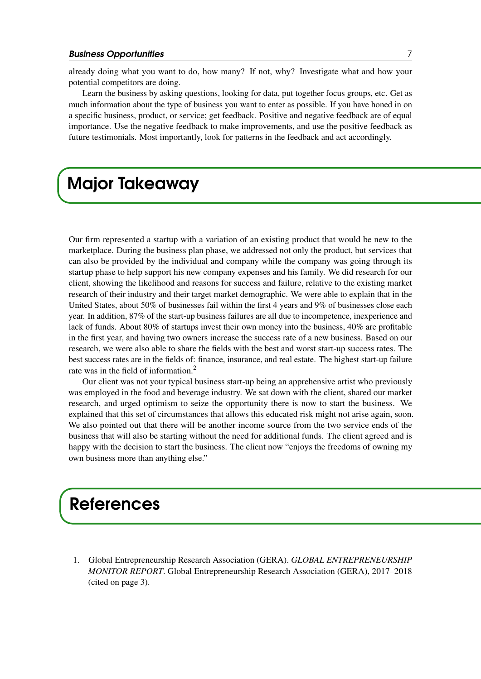already doing what you want to do, how many? If not, why? Investigate what and how your potential competitors are doing.

Learn the business by asking questions, looking for data, put together focus groups, etc. Get as much information about the type of business you want to enter as possible. If you have honed in on a specific business, product, or service; get feedback. Positive and negative feedback are of equal importance. Use the negative feedback to make improvements, and use the positive feedback as future testimonials. Most importantly, look for patterns in the feedback and act accordingly.

### Major Takeaway

Our firm represented a startup with a variation of an existing product that would be new to the marketplace. During the business plan phase, we addressed not only the product, but services that can also be provided by the individual and company while the company was going through its startup phase to help support his new company expenses and his family. We did research for our client, showing the likelihood and reasons for success and failure, relative to the existing market research of their industry and their target market demographic. We were able to explain that in the United States, about 50% of businesses fail within the first 4 years and 9% of businesses close each year. In addition, 87% of the start-up business failures are all due to incompetence, inexperience and lack of funds. About 80% of startups invest their own money into the business, 40% are profitable in the first year, and having two owners increase the success rate of a new business. Based on our research, we were also able to share the fields with the best and worst start-up success rates. The best success rates are in the fields of: finance, insurance, and real estate. The highest start-up failure rate was in the field of information.2

Our client was not your typical business start-up being an apprehensive artist who previously was employed in the food and beverage industry. We sat down with the client, shared our market research, and urged optimism to seize the opportunity there is now to start the business. We explained that this set of circumstances that allows this educated risk might not arise again, soon. We also pointed out that there will be another income source from the two service ends of the business that will also be starting without the need for additional funds. The client agreed and is happy with the decision to start the business. The client now "enjoys the freedoms of owning my own business more than anything else."

### References

1. Global Entrepreneurship Research Association (GERA). *GLOBAL ENTREPRENEURSHIP MONITOR REPORT*. Global Entrepreneurship Research Association (GERA), 2017–2018 (cited on page 3).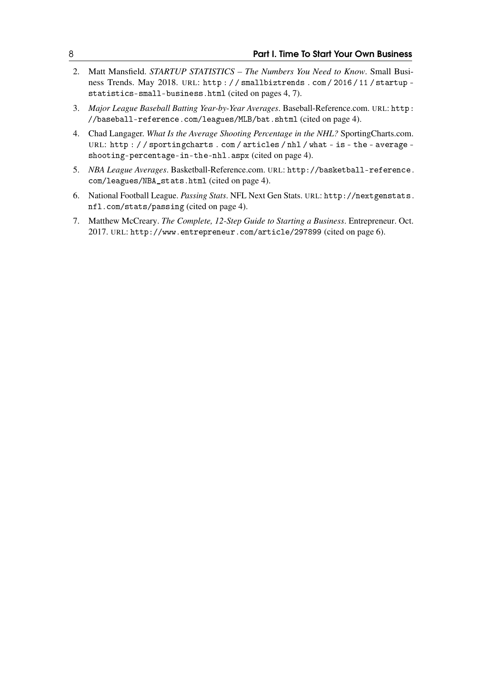- 2. Matt Mansfield. *STARTUP STATISTICS The Numbers You Need to Know*. Small Business Trends. May 2018. URL: [http : / / smallbiztrends . com / 2016 / 11 / startup](http://smallbiztrends.com/2016/11/startup-statistics-small-business.html)  [statistics-small-business.html](http://smallbiztrends.com/2016/11/startup-statistics-small-business.html) (cited on pages 4, 7).
- 3. *Major League Baseball Batting Year-by-Year Averages*. Baseball-Reference.com. URL: [http:](http://baseball-reference.com/leagues/MLB/bat.shtml) [//baseball-reference.com/leagues/MLB/bat.shtml](http://baseball-reference.com/leagues/MLB/bat.shtml) (cited on page 4).
- 4. Chad Langager. *What Is the Average Shooting Percentage in the NHL?* SportingCharts.com. URL: [http : / / sportingcharts . com / articles / nhl / what - is - the - average](http://sportingcharts.com/articles/nhl/what-is-the-average-shooting-percentage-in-the-nhl.aspx)  [shooting-percentage-in-the-nhl.aspx](http://sportingcharts.com/articles/nhl/what-is-the-average-shooting-percentage-in-the-nhl.aspx) (cited on page 4).
- 5. *NBA League Averages*. Basketball-Reference.com. URL: [http://basketball-reference.](http://basketball-reference.com/leagues/NBA_stats.html) [com/leagues/NBA\\_stats.html](http://basketball-reference.com/leagues/NBA_stats.html) (cited on page 4).
- 6. National Football League. *Passing Stats*. NFL Next Gen Stats. URL: [http://nextgenstats.](http://nextgenstats.nfl.com/stats/passing) [nfl.com/stats/passing](http://nextgenstats.nfl.com/stats/passing) (cited on page 4).
- 7. Matthew McCreary. *The Complete, 12-Step Guide to Starting a Business*. Entrepreneur. Oct. 2017. URL: <http://www.entrepreneur.com/article/297899> (cited on page 6).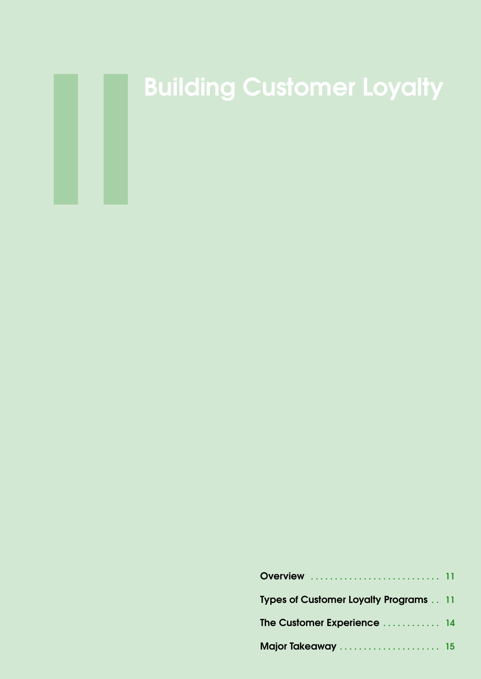

# Building Customer Loyalty

| <b>Overview</b> 11                           |  |
|----------------------------------------------|--|
| <b>Types of Customer Loyalty Programs 11</b> |  |
| The Customer Experience  14                  |  |
| Major Takeaway  15                           |  |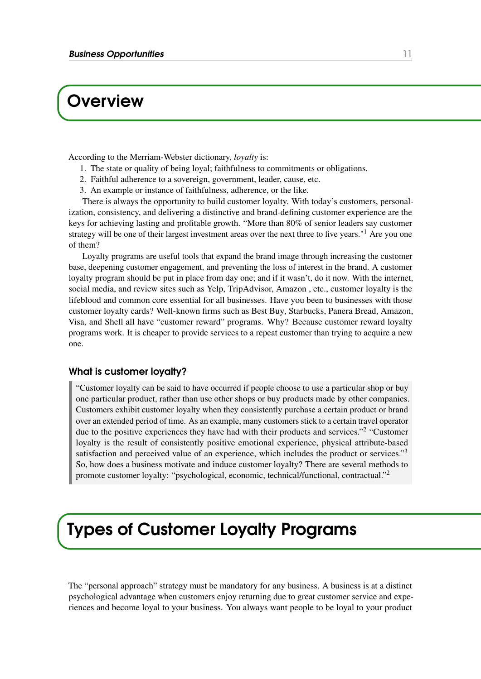### **Overview**

According to the Merriam-Webster dictionary, *loyalty* is:

- 1. The state or quality of being loyal; faithfulness to commitments or obligations.
- 2. Faithful adherence to a sovereign, government, leader, cause, etc.
- 3. An example or instance of faithfulness, adherence, or the like.

There is always the opportunity to build customer loyalty. With today's customers, personalization, consistency, and delivering a distinctive and brand-defining customer experience are the keys for achieving lasting and profitable growth. "More than 80% of senior leaders say customer strategy will be one of their largest investment areas over the next three to five years."<sup>1</sup> Are you one of them?

Loyalty programs are useful tools that expand the brand image through increasing the customer base, deepening customer engagement, and preventing the loss of interest in the brand. A customer loyalty program should be put in place from day one; and if it wasn't, do it now. With the internet, social media, and review sites such as Yelp, TripAdvisor, Amazon , etc., customer loyalty is the lifeblood and common core essential for all businesses. Have you been to businesses with those customer loyalty cards? Well-known firms such as Best Buy, Starbucks, Panera Bread, Amazon, Visa, and Shell all have "customer reward" programs. Why? Because customer reward loyalty programs work. It is cheaper to provide services to a repeat customer than trying to acquire a new one.

#### What is customer loyalty?

"Customer loyalty can be said to have occurred if people choose to use a particular shop or buy one particular product, rather than use other shops or buy products made by other companies. Customers exhibit customer loyalty when they consistently purchase a certain product or brand over an extended period of time. As an example, many customers stick to a certain travel operator due to the positive experiences they have had with their products and services."<sup>2</sup> "Customer loyalty is the result of consistently positive emotional experience, physical attribute-based satisfaction and perceived value of an experience, which includes the product or services."<sup>3</sup> So, how does a business motivate and induce customer loyalty? There are several methods to promote customer loyalty: "psychological, economic, technical/functional, contractual."2

### Types of Customer Loyalty Programs

The "personal approach" strategy must be mandatory for any business. A business is at a distinct psychological advantage when customers enjoy returning due to great customer service and experiences and become loyal to your business. You always want people to be loyal to your product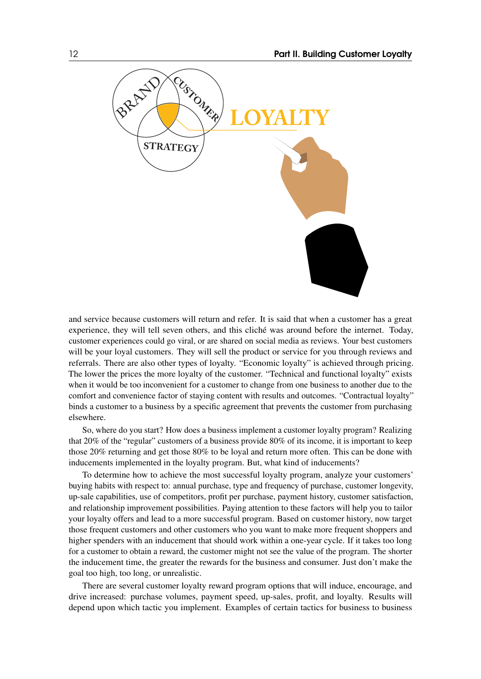

and service because customers will return and refer. It is said that when a customer has a great experience, they will tell seven others, and this cliché was around before the internet. Today, customer experiences could go viral, or are shared on social media as reviews. Your best customers will be your loyal customers. They will sell the product or service for you through reviews and referrals. There are also other types of loyalty. "Economic loyalty" is achieved through pricing. The lower the prices the more loyalty of the customer. "Technical and functional loyalty" exists when it would be too inconvenient for a customer to change from one business to another due to the comfort and convenience factor of staying content with results and outcomes. "Contractual loyalty" binds a customer to a business by a specific agreement that prevents the customer from purchasing elsewhere.

So, where do you start? How does a business implement a customer loyalty program? Realizing that 20% of the "regular" customers of a business provide 80% of its income, it is important to keep those 20% returning and get those 80% to be loyal and return more often. This can be done with inducements implemented in the loyalty program. But, what kind of inducements?

To determine how to achieve the most successful loyalty program, analyze your customers' buying habits with respect to: annual purchase, type and frequency of purchase, customer longevity, up-sale capabilities, use of competitors, profit per purchase, payment history, customer satisfaction, and relationship improvement possibilities. Paying attention to these factors will help you to tailor your loyalty offers and lead to a more successful program. Based on customer history, now target those frequent customers and other customers who you want to make more frequent shoppers and higher spenders with an inducement that should work within a one-year cycle. If it takes too long for a customer to obtain a reward, the customer might not see the value of the program. The shorter the inducement time, the greater the rewards for the business and consumer. Just don't make the goal too high, too long, or unrealistic.

There are several customer loyalty reward program options that will induce, encourage, and drive increased: purchase volumes, payment speed, up-sales, profit, and loyalty. Results will depend upon which tactic you implement. Examples of certain tactics for business to business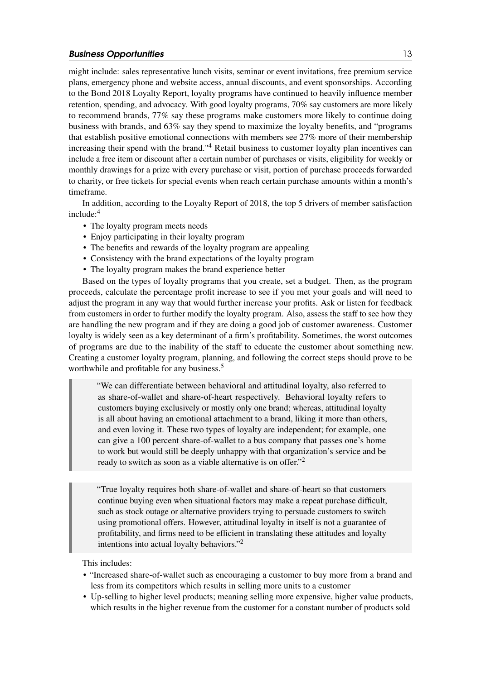might include: sales representative lunch visits, seminar or event invitations, free premium service plans, emergency phone and website access, annual discounts, and event sponsorships. According to the Bond 2018 Loyalty Report, loyalty programs have continued to heavily influence member retention, spending, and advocacy. With good loyalty programs, 70% say customers are more likely to recommend brands, 77% say these programs make customers more likely to continue doing business with brands, and 63% say they spend to maximize the loyalty benefits, and "programs that establish positive emotional connections with members see 27% more of their membership increasing their spend with the brand."4 Retail business to customer loyalty plan incentives can include a free item or discount after a certain number of purchases or visits, eligibility for weekly or monthly drawings for a prize with every purchase or visit, portion of purchase proceeds forwarded to charity, or free tickets for special events when reach certain purchase amounts within a month's timeframe.

In addition, according to the Loyalty Report of 2018, the top 5 drivers of member satisfaction include:4

- The loyalty program meets needs
- Enjoy participating in their loyalty program
- The benefits and rewards of the loyalty program are appealing
- Consistency with the brand expectations of the loyalty program
- The loyalty program makes the brand experience better

Based on the types of loyalty programs that you create, set a budget. Then, as the program proceeds, calculate the percentage profit increase to see if you met your goals and will need to adjust the program in any way that would further increase your profits. Ask or listen for feedback from customers in order to further modify the loyalty program. Also, assess the staff to see how they are handling the new program and if they are doing a good job of customer awareness. Customer loyalty is widely seen as a key determinant of a firm's profitability. Sometimes, the worst outcomes of programs are due to the inability of the staff to educate the customer about something new. Creating a customer loyalty program, planning, and following the correct steps should prove to be worthwhile and profitable for any business.<sup>5</sup>

"We can differentiate between behavioral and attitudinal loyalty, also referred to as share-of-wallet and share-of-heart respectively. Behavioral loyalty refers to customers buying exclusively or mostly only one brand; whereas, attitudinal loyalty is all about having an emotional attachment to a brand, liking it more than others, and even loving it. These two types of loyalty are independent; for example, one can give a 100 percent share-of-wallet to a bus company that passes one's home to work but would still be deeply unhappy with that organization's service and be ready to switch as soon as a viable alternative is on offer."2

"True loyalty requires both share-of-wallet and share-of-heart so that customers continue buying even when situational factors may make a repeat purchase difficult, such as stock outage or alternative providers trying to persuade customers to switch using promotional offers. However, attitudinal loyalty in itself is not a guarantee of profitability, and firms need to be efficient in translating these attitudes and loyalty intentions into actual loyalty behaviors."2

This includes:

- "Increased share-of-wallet such as encouraging a customer to buy more from a brand and less from its competitors which results in selling more units to a customer
- Up-selling to higher level products; meaning selling more expensive, higher value products, which results in the higher revenue from the customer for a constant number of products sold